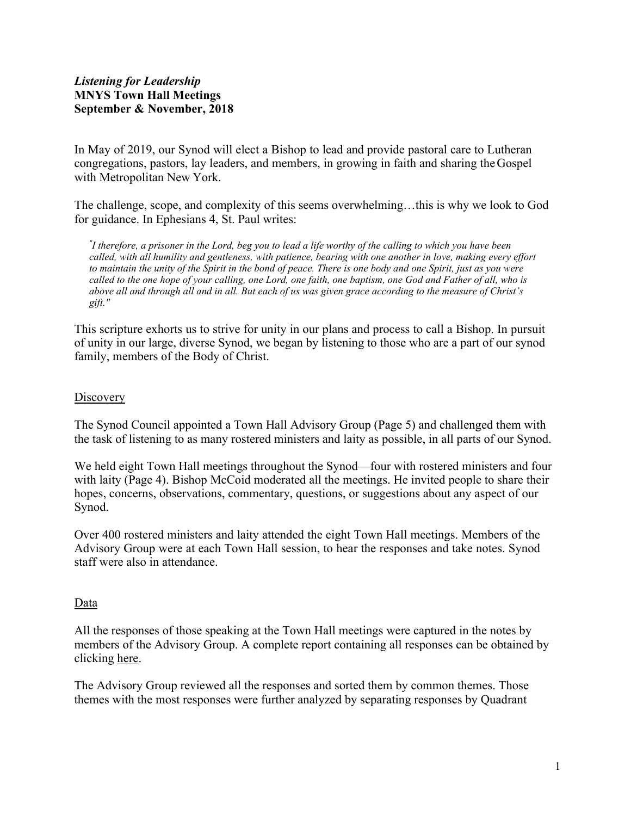# *Listening for Leadership*  **MNYS Town Hall Meetings September & November, 2018**

In May of 2019, our Synod will elect a Bishop to lead and provide pastoral care to Lutheran congregations, pastors, lay leaders, and members, in growing in faith and sharing theGospel with Metropolitan New York.

The challenge, scope, and complexity of this seems overwhelming…this is why we look to God for guidance. In Ephesians 4, St. Paul writes:

*" I therefore, a prisoner in the Lord, beg you to lead a life worthy of the calling to which you have been called, with all humility and gentleness, with patience, bearing with one another in love, making every effort to maintain the unity of the Spirit in the bond of peace. There is one body and one Spirit, just as you were called to the one hope of your calling, one Lord, one faith, one baptism, one God and Father of all, who is above all and through all and in all. But each of us was given grace according to the measure of Christ's gift."*

This scripture exhorts us to strive for unity in our plans and process to call a Bishop. In pursuit of unity in our large, diverse Synod, we began by listening to those who are a part of our synod family, members of the Body of Christ.

## **Discovery**

The Synod Council appointed a Town Hall Advisory Group (Page 5) and challenged them with the task of listening to as many rostered ministers and laity as possible, in all parts of our Synod.

We held eight Town Hall meetings throughout the Synod—four with rostered ministers and four with laity (Page 4). Bishop McCoid moderated all the meetings. He invited people to share their hopes, concerns, observations, commentary, questions, or suggestions about any aspect of our Synod.

Over 400 rostered ministers and laity attended the eight Town Hall meetings. Members of the Advisory Group were at each Town Hall session, to hear the responses and take notes. Synod staff were also in attendance.

## Data

All the responses of those speaking at the Town Hall meetings were captured in the notes by members of the Advisory Group. A complete report containing all responses can be obtained by clicking [here.](https://www.mnys.org/assets/1/6/mnys_town_hall_responses_2018.pdf)

The Advisory Group reviewed all the responses and sorted them by common themes. Those themes with the most responses were further analyzed by separating responses by Quadrant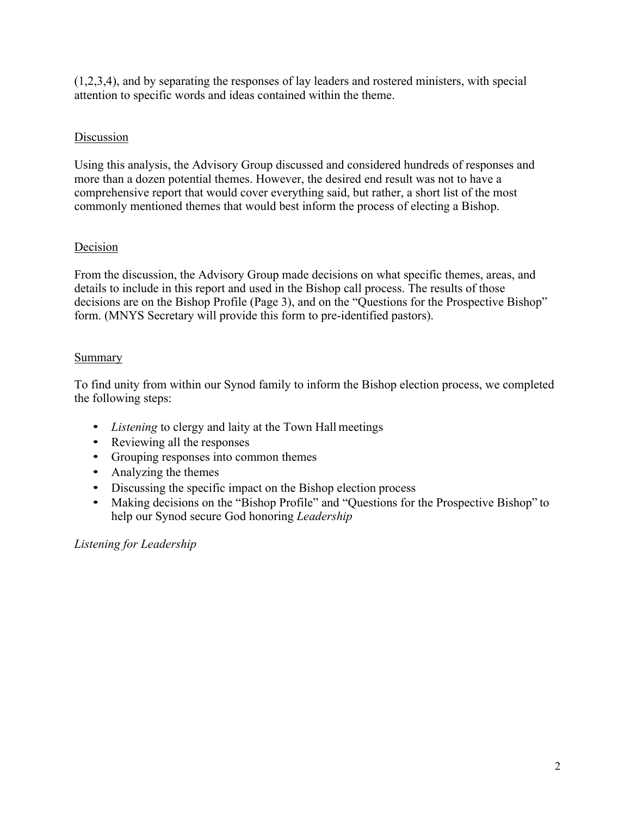(1,2,3,4), and by separating the responses of lay leaders and rostered ministers, with special attention to specific words and ideas contained within the theme.

# Discussion

Using this analysis, the Advisory Group discussed and considered hundreds of responses and more than a dozen potential themes. However, the desired end result was not to have a comprehensive report that would cover everything said, but rather, a short list of the most commonly mentioned themes that would best inform the process of electing a Bishop.

# Decision

From the discussion, the Advisory Group made decisions on what specific themes, areas, and details to include in this report and used in the Bishop call process. The results of those decisions are on the Bishop Profile (Page 3), and on the "Questions for the Prospective Bishop" form. (MNYS Secretary will provide this form to pre-identified pastors).

# Summary

To find unity from within our Synod family to inform the Bishop election process, we completed the following steps:

- *Listening* to clergy and laity at the Town Hall meetings
- Reviewing all the responses
- Grouping responses into common themes
- Analyzing the themes
- Discussing the specific impact on the Bishop election process
- Making decisions on the "Bishop Profile" and "Questions for the Prospective Bishop" to help our Synod secure God honoring *Leadership*

*Listening for Leadership*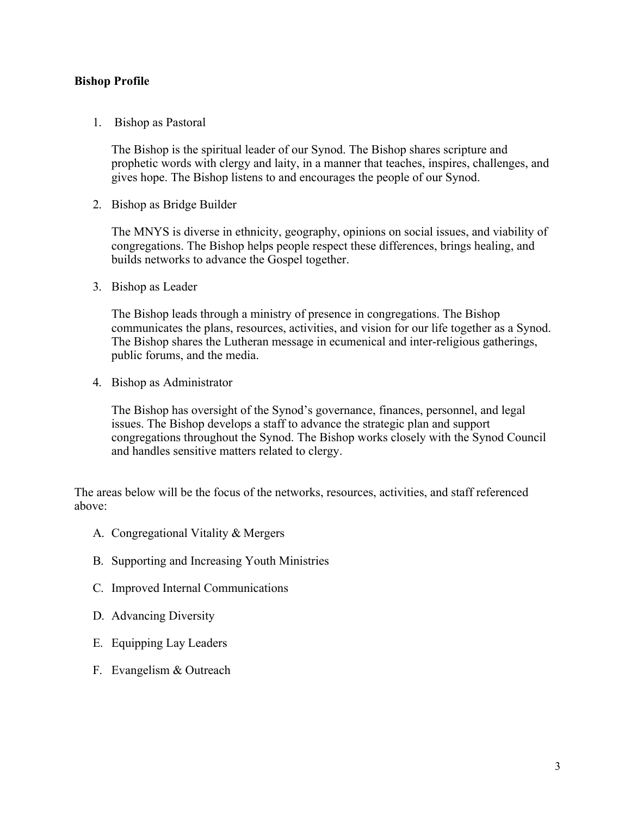## **Bishop Profile**

1. Bishop as Pastoral

The Bishop is the spiritual leader of our Synod. The Bishop shares scripture and prophetic words with clergy and laity, in a manner that teaches, inspires, challenges, and gives hope. The Bishop listens to and encourages the people of our Synod.

2. Bishop as Bridge Builder

The MNYS is diverse in ethnicity, geography, opinions on social issues, and viability of congregations. The Bishop helps people respect these differences, brings healing, and builds networks to advance the Gospel together.

3. Bishop as Leader

The Bishop leads through a ministry of presence in congregations. The Bishop communicates the plans, resources, activities, and vision for our life together as a Synod. The Bishop shares the Lutheran message in ecumenical and inter-religious gatherings, public forums, and the media.

4. Bishop as Administrator

The Bishop has oversight of the Synod's governance, finances, personnel, and legal issues. The Bishop develops a staff to advance the strategic plan and support congregations throughout the Synod. The Bishop works closely with the Synod Council and handles sensitive matters related to clergy.

The areas below will be the focus of the networks, resources, activities, and staff referenced above:

- A. Congregational Vitality & Mergers
- B. Supporting and Increasing Youth Ministries
- C. Improved Internal Communications
- D. Advancing Diversity
- E. Equipping Lay Leaders
- F. Evangelism & Outreach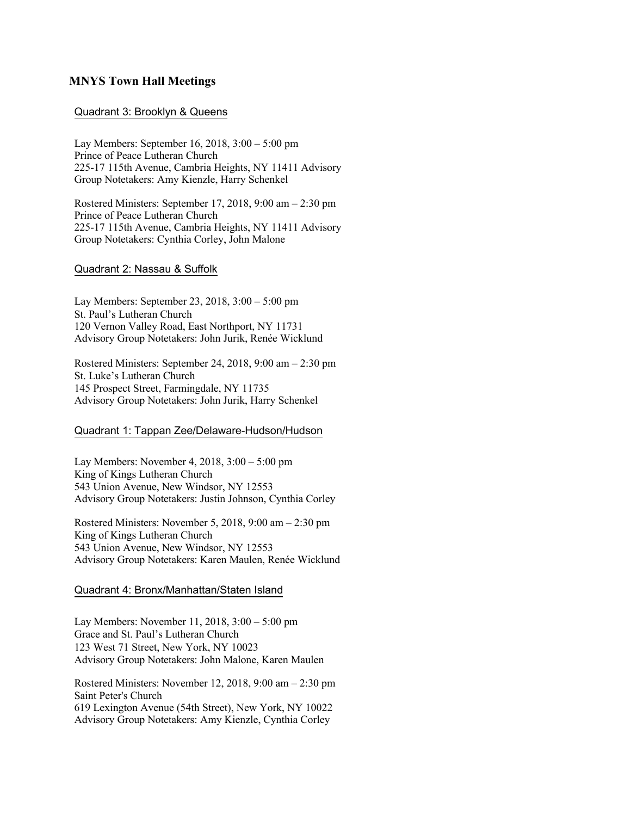### **MNYS Town Hall Meetings**

### Quadrant 3: Brooklyn & Queens

Lay Members: September 16, 2018, 3:00 – 5:00 pm Prince of Peace Lutheran Church 225-17 115th Avenue, Cambria Heights, NY 11411 Advisory Group Notetakers: Amy Kienzle, Harry Schenkel

Rostered Ministers: September 17, 2018, 9:00 am – 2:30 pm Prince of Peace Lutheran Church 225-17 115th Avenue, Cambria Heights, NY 11411 Advisory Group Notetakers: Cynthia Corley, John Malone

#### Quadrant 2: Nassau & Suffolk

Lay Members: September 23, 2018, 3:00 – 5:00 pm St. Paul's Lutheran Church 120 Vernon Valley Road, East Northport, NY 11731 Advisory Group Notetakers: John Jurik, Renée Wicklund

Rostered Ministers: September 24, 2018, 9:00 am – 2:30 pm St. Luke's Lutheran Church 145 Prospect Street, Farmingdale, NY 11735 Advisory Group Notetakers: John Jurik, Harry Schenkel

### Quadrant 1: Tappan Zee/Delaware-Hudson/Hudson

Lay Members: November 4, 2018, 3:00 – 5:00 pm King of Kings Lutheran Church 543 Union Avenue, New Windsor, NY 12553 Advisory Group Notetakers: Justin Johnson, Cynthia Corley

Rostered Ministers: November 5, 2018, 9:00 am – 2:30 pm King of Kings Lutheran Church 543 Union Avenue, New Windsor, NY 12553 Advisory Group Notetakers: Karen Maulen, Renée Wicklund

#### Quadrant 4: Bronx/Manhattan/Staten Island

Lay Members: November 11, 2018, 3:00 – 5:00 pm Grace and St. Paul's Lutheran Church 123 West 71 Street, New York, NY 10023 Advisory Group Notetakers: John Malone, Karen Maulen

Rostered Ministers: November 12, 2018, 9:00 am – 2:30 pm Saint Peter's Church 619 Lexington Avenue (54th Street), New York, NY 10022 Advisory Group Notetakers: Amy Kienzle, Cynthia Corley